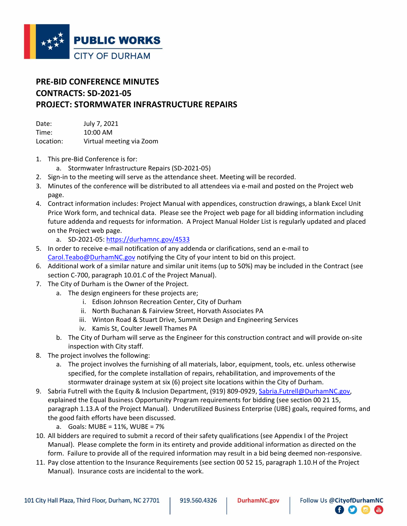

## **PRE-BID CONFERENCE MINUTES CONTRACTS: SD-2021-05 PROJECT: STORMWATER INFRASTRUCTURE REPAIRS**

Date: July 7, 2021 Time: 10:00 AM Location: Virtual meeting via Zoom

- 1. This pre-Bid Conference is for:
	- a. Stormwater Infrastructure Repairs (SD-2021-05)
- 2. Sign-in to the meeting will serve as the attendance sheet. Meeting will be recorded.
- 3. Minutes of the conference will be distributed to all attendees via e-mail and posted on the Project web page.
- 4. Contract information includes: Project Manual with appendices, construction drawings, a blank Excel Unit Price Work form, and technical data. Please see the Project web page for all bidding information including future addenda and requests for information. A Project Manual Holder List is regularly updated and placed on the Project web page.
	- a. SD-2021-05:<https://durhamnc.gov/4533>
- 5. In order to receive e-mail notification of any addenda or clarifications, send an e-mail to [Carol.Teabo@DurhamNC.gov](mailto:Carol.Teabo@DurhamNC.gov) notifying the City of your intent to bid on this project.
- 6. Additional work of a similar nature and similar unit items (up to 50%) may be included in the Contract (see section C-700, paragraph 10.01.C of the Project Manual).
- 7. The City of Durham is the Owner of the Project.
	- a. The design engineers for these projects are;
		- i. Edison Johnson Recreation Center, City of Durham
		- ii. North Buchanan & Fairview Street, Horvath Associates PA
		- iii. Winton Road & Stuart Drive, Summit Design and Engineering Services
		- iv. Kamis St, Coulter Jewell Thames PA
		- b. The City of Durham will serve as the Engineer for this construction contract and will provide on-site inspection with City staff.
- 8. The project involves the following:
	- a. The project involves the furnishing of all materials, labor, equipment, tools, etc. unless otherwise specified, for the complete installation of repairs, rehabilitation, and improvements of the stormwater drainage system at six (6) project site locations within the City of Durham.
- 9. Sabria Futrell with the Equity & Inclusion Department, (919) 809-0929[, Sabria.Futrell@DurhamNC.gov,](mailto:Sabria.Futrell@DurhamNC.gov) explained the Equal Business Opportunity Program requirements for bidding (see section 00 21 15, paragraph 1.13.A of the Project Manual). Underutilized Business Enterprise (UBE) goals, required forms, and the good faith efforts have been discussed.
	- a. Goals: MUBE = 11%, WUBE = 7%
- 10. All bidders are required to submit a record of their safety qualifications (see Appendix I of the Project Manual). Please complete the form in its entirety and provide additional information as directed on the form. Failure to provide all of the required information may result in a bid being deemed non-responsive.
- 11. Pay close attention to the Insurance Requirements (see section 00 52 15, paragraph 1.10.H of the Project Manual). Insurance costs are incidental to the work.

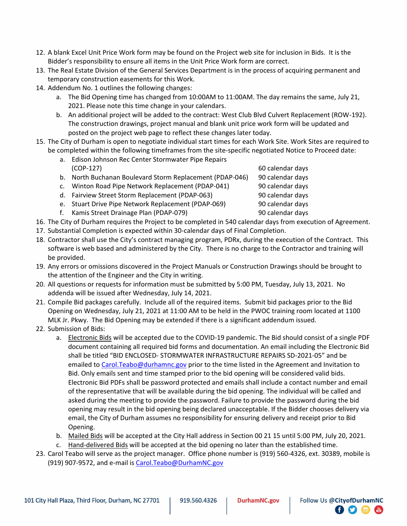- 12. A blank Excel Unit Price Work form may be found on the Project web site for inclusion in Bids. It is the Bidder's responsibility to ensure all items in the Unit Price Work form are correct.
- 13. The Real Estate Division of the General Services Department is in the process of acquiring permanent and temporary construction easements for this Work.
- 14. Addendum No. 1 outlines the following changes:
	- a. The Bid Opening time has changed from 10:00AM to 11:00AM. The day remains the same, July 21, 2021. Please note this time change in your calendars.
	- b. An additional project will be added to the contract: West Club Blvd Culvert Replacement (ROW-192). The construction drawings, project manual and blank unit price work form will be updated and posted on the project web page to reflect these changes later today.
- 15. The City of Durham is open to negotiate individual start times for each Work Site. Work Sites are required to be completed within the following timeframes from the site-specific negotiated Notice to Proceed date:
	- a. Edison Johnson Rec Center Stormwater Pipe Repairs (COP-127) 60 calendar days
	- b. North Buchanan Boulevard Storm Replacement (PDAP-046) 90 calendar days
	- c. Winton Road Pipe Network Replacement (PDAP-041) 90 calendar days
	- d. Fairview Street Storm Replacement (PDAP-063) 90 calendar days
	- e. Stuart Drive Pipe Network Replacement (PDAP-069) 90 calendar days
	- f. Kamis Street Drainage Plan (PDAP-079) 90 calendar days
- 16. The City of Durham requires the Project to be completed in 540 calendar days from execution of Agreement.
- 17. Substantial Completion is expected within 30-calendar days of Final Completion.
- 18. Contractor shall use the City's contract managing program, PDRx, during the execution of the Contract. This software is web based and administered by the City. There is no charge to the Contractor and training will be provided.
- 19. Any errors or omissions discovered in the Project Manuals or Construction Drawings should be brought to the attention of the Engineer and the City in writing.
- 20. All questions or requests for information must be submitted by 5:00 PM, Tuesday, July 13, 2021. No addenda will be issued after Wednesday, July 14, 2021.
- 21. Compile Bid packages carefully. Include all of the required items. Submit bid packages prior to the Bid Opening on Wednesday, July 21, 2021 at 11:00 AM to be held in the PWOC training room located at 1100 MLK Jr. Pkwy. The Bid Opening may be extended if there is a significant addendum issued.
- 22. Submission of Bids:
	- a. Electronic Bids will be accepted due to the COVID-19 pandemic. The Bid should consist of a single PDF document containing all required bid forms and documentation. An email including the Electronic Bid shall be titled "BID ENCLOSED- STORMWATER INFRASTRUCTURE REPAIRS SD-2021-05" and be emailed to Carol. Teabo@durhamnc.gov prior to the time listed in the Agreement and Invitation to Bid. Only emails sent and time stamped prior to the bid opening will be considered valid bids. Electronic Bid PDFs shall be password protected and emails shall include a contact number and email of the representative that will be available during the bid opening. The individual will be called and asked during the meeting to provide the password. Failure to provide the password during the bid opening may result in the bid opening being declared unacceptable. If the Bidder chooses delivery via email, the City of Durham assumes no responsibility for ensuring delivery and receipt prior to Bid Opening.
	- b. Mailed Bids will be accepted at the City Hall address in Section 00 21 15 until 5:00 PM, July 20, 2021.
	- c. Hand-delivered Bids will be accepted at the bid opening no later than the established time.
- 23. Carol Teabo will serve as the project manager. Office phone number is (919) 560-4326, ext. 30389, mobile is (919) 907-9572, and e-mail i[s Carol.Teabo@DurhamNC.gov](mailto:Carol.Teabo@DurhamNC.gov)

日り回信